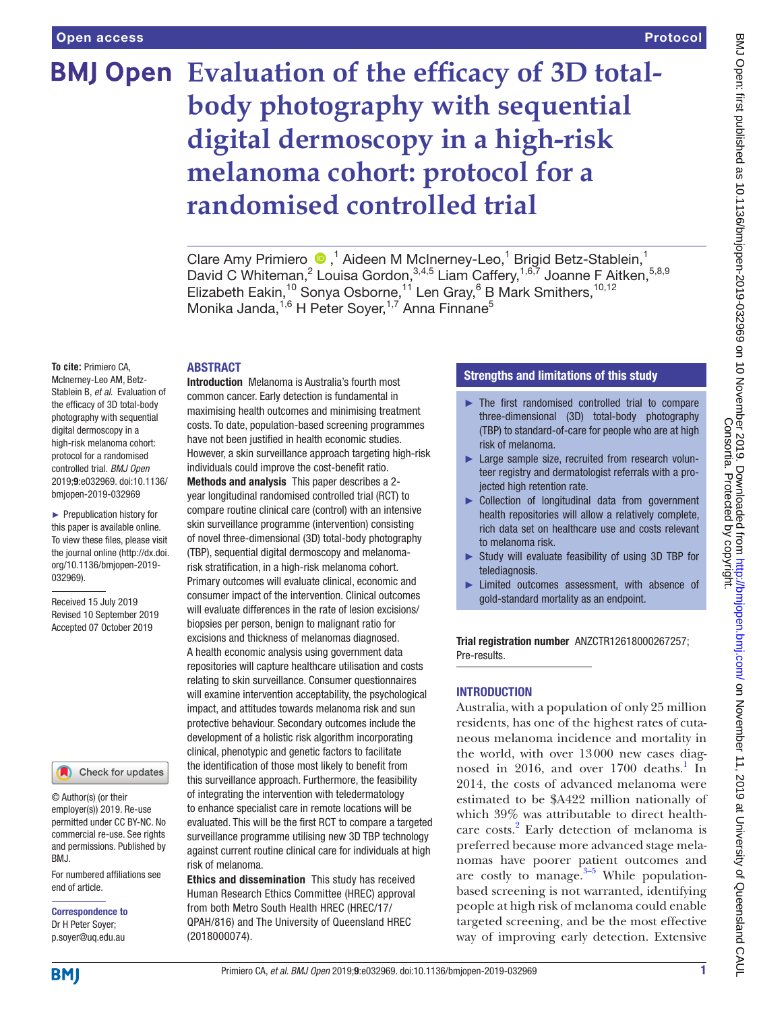#### Protocol

# **BMJ Open** Evaluation of the efficacy of 3D total**body photography with sequential digital dermoscopy in a high-risk melanoma cohort: protocol for a randomised controlled trial**

ClareAmy Primiero  $\bullet$ ,<sup>1</sup> Aideen M McInerney-Leo,<sup>1</sup> Brigid Betz-Stablein,<sup>1</sup> David C Whiteman,<sup>2</sup> Louisa Gordon,<sup>3,4,5</sup> Liam Caffery,<sup>1,6,7</sup> Joanne F Aitken,<sup>5,8,9</sup> Elizabeth Eakin,<sup>10</sup> Sonya Osborne,<sup>11</sup> Len Gray,<sup>6</sup> B Mark Smithers,<sup>10,12</sup> Monika Janda,<sup>1,6</sup> H Peter Soyer,<sup>1,7</sup> Anna Finnane<sup>5</sup>

# **ABSTRACT**

**To cite:** Primiero CA, McInerney-Leo AM, Betz-Stablein B, *et al*. Evaluation of the efficacy of 3D total-body photography with sequential digital dermoscopy in a high-risk melanoma cohort: protocol for a randomised controlled trial. *BMJ Open* 2019;9:e032969. doi:10.1136/ bmjopen-2019-032969

► Prepublication history for this paper is available online. To view these files, please visit the journal online (http://dx.doi. org/10.1136/bmjopen-2019- 032969).

Received 15 July 2019 Revised 10 September 2019 Accepted 07 October 2019



© Author(s) (or their employer(s)) 2019. Re-use permitted under CC BY-NC. No commercial re-use. See rights and permissions. Published by BMJ.

For numbered affiliations see end of article.

Correspondence to Dr H Peter Soyer; p.soyer@uq.edu.au

Introduction Melanoma is Australia's fourth most common cancer. Early detection is fundamental in maximising health outcomes and minimising treatment costs. To date, population-based screening programmes have not been justified in health economic studies. However, a skin surveillance approach targeting high-risk individuals could improve the cost-benefit ratio. Methods and analysis This paper describes a 2 year longitudinal randomised controlled trial (RCT) to compare routine clinical care (control) with an intensive skin surveillance programme (intervention) consisting of novel three-dimensional (3D) total-body photography (TBP), sequential digital dermoscopy and melanomarisk stratification, in a high-risk melanoma cohort. Primary outcomes will evaluate clinical, economic and consumer impact of the intervention. Clinical outcomes will evaluate differences in the rate of lesion excisions/ biopsies per person, benign to malignant ratio for excisions and thickness of melanomas diagnosed. A health economic analysis using government data repositories will capture healthcare utilisation and costs relating to skin surveillance. Consumer questionnaires will examine intervention acceptability, the psychological impact, and attitudes towards melanoma risk and sun protective behaviour. Secondary outcomes include the development of a holistic risk algorithm incorporating clinical, phenotypic and genetic factors to facilitate the identification of those most likely to benefit from this surveillance approach. Furthermore, the feasibility of integrating the intervention with teledermatology to enhance specialist care in remote locations will be evaluated. This will be the first RCT to compare a targeted surveillance programme utilising new 3D TBP technology

risk of melanoma. Ethics and dissemination This study has received Human Research Ethics Committee (HREC) approval from both Metro South Health HREC (HREC/17/ QPAH/816) and The University of Queensland HREC (2018000074).

against current routine clinical care for individuals at high

# Strengths and limitations of this study

- ► The first randomised controlled trial to compare three-dimensional (3D) total-body photography (TBP) to standard-of-care for people who are at high risk of melanoma.
- ► Large sample size, recruited from research volunteer registry and dermatologist referrals with a projected high retention rate.
- ► Collection of longitudinal data from government health repositories will allow a relatively complete, rich data set on healthcare use and costs relevant to melanoma risk.
- ► Study will evaluate feasibility of using 3D TBP for telediagnosis.
- ► Limited outcomes assessment, with absence of gold-standard mortality as an endpoint.

Trial registration number ANZCTR12618000267257; Pre-results.

# **INTRODUCTION**

Australia, with a population of only 25 million residents, has one of the highest rates of cutaneous melanoma incidence and mortality in the world, with over 13000 new cases diagnosed in 2016, and over 1700 deaths.<sup>1</sup> In 2014, the costs of advanced melanoma were estimated to be \$A422 million nationally of which 39% was attributable to direct health-care costs.<sup>[2](#page-7-1)</sup> Early detection of melanoma is preferred because more advanced stage melanomas have poorer patient outcomes and are costly to manage. $3-5$  While populationbased screening is not warranted, identifying people at high risk of melanoma could enable targeted screening, and be the most effective way of improving early detection. Extensive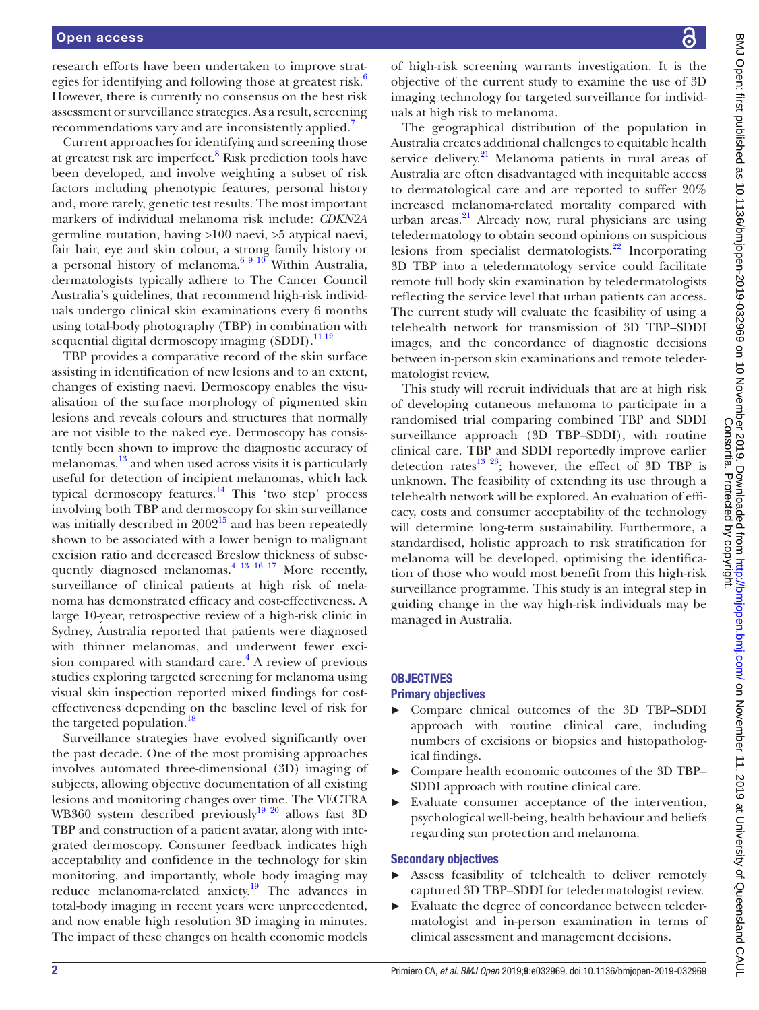research efforts have been undertaken to improve strat-egies for identifying and following those at greatest risk.<sup>[6](#page-7-3)</sup> However, there is currently no consensus on the best risk assessment or surveillance strategies. As a result, screening recommendations vary and are inconsistently applied[.7](#page-7-4)

Current approaches for identifying and screening those at greatest risk are imperfect.<sup>[8](#page-7-5)</sup> Risk prediction tools have been developed, and involve weighting a subset of risk factors including phenotypic features, personal history and, more rarely, genetic test results. The most important markers of individual melanoma risk include: *CDKN2A* germline mutation, having >100 naevi, >5 atypical naevi, fair hair, eye and skin colour, a strong family history or a personal history of melanoma. $6910$  Within Australia, dermatologists typically adhere to The Cancer Council Australia's guidelines, that recommend high-risk individuals undergo clinical skin examinations every 6 months using total-body photography (TBP) in combination with sequential digital dermoscopy imaging (SDDI).<sup>11 12</sup>

TBP provides a comparative record of the skin surface assisting in identification of new lesions and to an extent, changes of existing naevi. Dermoscopy enables the visualisation of the surface morphology of pigmented skin lesions and reveals colours and structures that normally are not visible to the naked eye. Dermoscopy has consistently been shown to improve the diagnostic accuracy of melanomas, $\frac{13}{3}$  and when used across visits it is particularly useful for detection of incipient melanomas, which lack typical dermoscopy features. $14$  This 'two step' process involving both TBP and dermoscopy for skin surveillance was initially described in  $2002^{15}$  $2002^{15}$  $2002^{15}$  and has been repeatedly shown to be associated with a lower benign to malignant excision ratio and decreased Breslow thickness of subsequently diagnosed melanomas.<sup>4 13 16 17</sup> More recently, surveillance of clinical patients at high risk of melanoma has demonstrated efficacy and cost-effectiveness. A large 10-year, retrospective review of a high-risk clinic in Sydney, Australia reported that patients were diagnosed with thinner melanomas, and underwent fewer exci-sion compared with standard care.<sup>[4](#page-7-8)</sup> A review of previous studies exploring targeted screening for melanoma using visual skin inspection reported mixed findings for costeffectiveness depending on the baseline level of risk for the targeted population.<sup>[18](#page-8-2)</sup>

Surveillance strategies have evolved significantly over the past decade. One of the most promising approaches involves automated three-dimensional (3D) imaging of subjects, allowing objective documentation of all existing lesions and monitoring changes over time. The VECTRA WB360 system described previously<sup>[19 20](#page-8-3)</sup> allows fast 3D TBP and construction of a patient avatar, along with integrated dermoscopy. Consumer feedback indicates high acceptability and confidence in the technology for skin monitoring, and importantly, whole body imaging may reduce melanoma-related anxiety.<sup>[19](#page-8-3)</sup> The advances in total-body imaging in recent years were unprecedented, and now enable high resolution 3D imaging in minutes. The impact of these changes on health economic models

of high-risk screening warrants investigation. It is the objective of the current study to examine the use of 3D imaging technology for targeted surveillance for individuals at high risk to melanoma.

The geographical distribution of the population in Australia creates additional challenges to equitable health service delivery. $^{21}$  Melanoma patients in rural areas of Australia are often disadvantaged with inequitable access to dermatological care and are reported to suffer 20% increased melanoma-related mortality compared with urban areas. $^{21}$  Already now, rural physicians are using teledermatology to obtain second opinions on suspicious lesions from specialist dermatologists.<sup>22</sup> Incorporating 3D TBP into a teledermatology service could facilitate remote full body skin examination by teledermatologists reflecting the service level that urban patients can access. The current study will evaluate the feasibility of using a telehealth network for transmission of 3D TBP–SDDI images, and the concordance of diagnostic decisions between in-person skin examinations and remote teledermatologist review.

This study will recruit individuals that are at high risk of developing cutaneous melanoma to participate in a randomised trial comparing combined TBP and SDDI surveillance approach (3D TBP–SDDI), with routine clinical care. TBP and SDDI reportedly improve earlier detection rates<sup>[13 23](#page-7-7)</sup>; however, the effect of 3D TBP is unknown. The feasibility of extending its use through a telehealth network will be explored. An evaluation of efficacy, costs and consumer acceptability of the technology will determine long-term sustainability. Furthermore, a standardised, holistic approach to risk stratification for melanoma will be developed, optimising the identification of those who would most benefit from this high-risk surveillance programme. This study is an integral step in guiding change in the way high-risk individuals may be managed in Australia.

#### **OBJECTIVES**

#### Primary objectives

- ► Compare clinical outcomes of the 3D TBP–SDDI approach with routine clinical care, including numbers of excisions or biopsies and histopathological findings.
- ► Compare health economic outcomes of the 3D TBP– SDDI approach with routine clinical care.
- ► Evaluate consumer acceptance of the intervention, psychological well-being, health behaviour and beliefs regarding sun protection and melanoma.

#### Secondary objectives

- ► Assess feasibility of telehealth to deliver remotely captured 3D TBP–SDDI for teledermatologist review.
- ► Evaluate the degree of concordance between teledermatologist and in-person examination in terms of clinical assessment and management decisions.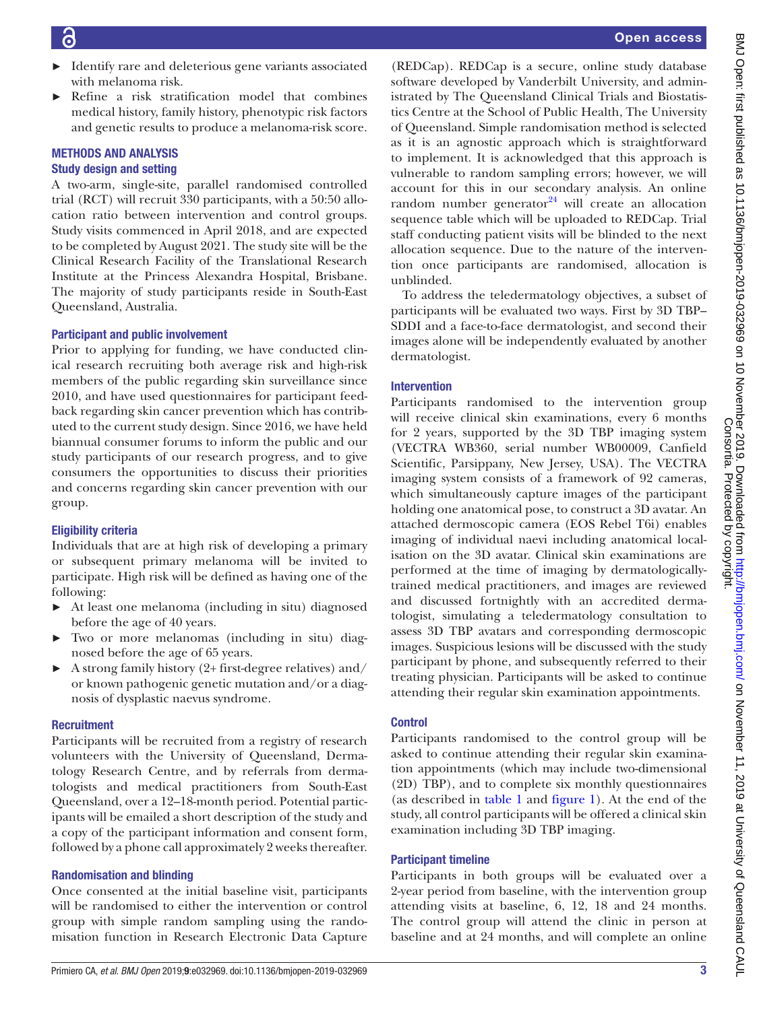- ► Identify rare and deleterious gene variants associated with melanoma risk.
- Refine a risk stratification model that combines medical history, family history, phenotypic risk factors and genetic results to produce a melanoma-risk score.

# Methods and analysis

### Study design and setting

A two-arm, single-site, parallel randomised controlled trial (RCT) will recruit 330 participants, with a 50:50 allocation ratio between intervention and control groups. Study visits commenced in April 2018, and are expected to be completed by August 2021. The study site will be the Clinical Research Facility of the Translational Research Institute at the Princess Alexandra Hospital, Brisbane. The majority of study participants reside in South-East Queensland, Australia.

#### Participant and public involvement

Prior to applying for funding, we have conducted clinical research recruiting both average risk and high-risk members of the public regarding skin surveillance since 2010, and have used questionnaires for participant feedback regarding skin cancer prevention which has contributed to the current study design. Since 2016, we have held biannual consumer forums to inform the public and our study participants of our research progress, and to give consumers the opportunities to discuss their priorities and concerns regarding skin cancer prevention with our group.

# Eligibility criteria

Individuals that are at high risk of developing a primary or subsequent primary melanoma will be invited to participate. High risk will be defined as having one of the following:

- ► At least one melanoma (including in situ) diagnosed before the age of 40 years.
- ► Two or more melanomas (including in situ) diagnosed before the age of 65 years.
- ► A strong family history (2+ first-degree relatives) and/ or known pathogenic genetic mutation and/or a diagnosis of dysplastic naevus syndrome.

# **Recruitment**

Participants will be recruited from a registry of research volunteers with the University of Queensland, Dermatology Research Centre, and by referrals from dermatologists and medical practitioners from South-East Queensland, over a 12–18-month period. Potential participants will be emailed a short description of the study and a copy of the participant information and consent form, followed by a phone call approximately 2 weeks thereafter.

# Randomisation and blinding

Once consented at the initial baseline visit, participants will be randomised to either the intervention or control group with simple random sampling using the randomisation function in Research Electronic Data Capture

(REDCap). REDCap is a secure, online study database software developed by Vanderbilt University, and administrated by The Queensland Clinical Trials and Biostatistics Centre at the School of Public Health, The University of Queensland. Simple randomisation method is selected as it is an agnostic approach which is straightforward to implement. It is acknowledged that this approach is vulnerable to random sampling errors; however, we will account for this in our secondary analysis. An online random number generator $^{24}$  $^{24}$  $^{24}$  will create an allocation sequence table which will be uploaded to REDCap. Trial staff conducting patient visits will be blinded to the next allocation sequence. Due to the nature of the intervention once participants are randomised, allocation is unblinded.

To address the teledermatology objectives, a subset of participants will be evaluated two ways. First by 3D TBP– SDDI and a face-to-face dermatologist, and second their images alone will be independently evaluated by another dermatologist.

# Intervention

Participants randomised to the intervention group will receive clinical skin examinations, every 6 months for 2 years, supported by the 3D TBP imaging system (VECTRA WB360, serial number WB00009, Canfield Scientific, Parsippany, New Jersey, USA). The VECTRA imaging system consists of a framework of 92 cameras, which simultaneously capture images of the participant holding one anatomical pose, to construct a 3D avatar. An attached dermoscopic camera (EOS Rebel T6i) enables imaging of individual naevi including anatomical localisation on the 3D avatar. Clinical skin examinations are performed at the time of imaging by dermatologicallytrained medical practitioners, and images are reviewed and discussed fortnightly with an accredited dermatologist, simulating a teledermatology consultation to assess 3D TBP avatars and corresponding dermoscopic images. Suspicious lesions will be discussed with the study participant by phone, and subsequently referred to their treating physician. Participants will be asked to continue attending their regular skin examination appointments.

# **Control**

Participants randomised to the control group will be asked to continue attending their regular skin examination appointments (which may include two-dimensional (2D) TBP), and to complete six monthly questionnaires (as described in [table](#page-3-0) 1 and [figure](#page-4-0) 1). At the end of the study, all control participants will be offered a clinical skin examination including 3D TBP imaging.

# Participant timeline

Participants in both groups will be evaluated over a 2-year period from baseline, with the intervention group attending visits at baseline, 6, 12, 18 and 24 months. The control group will attend the clinic in person at baseline and at 24 months, and will complete an online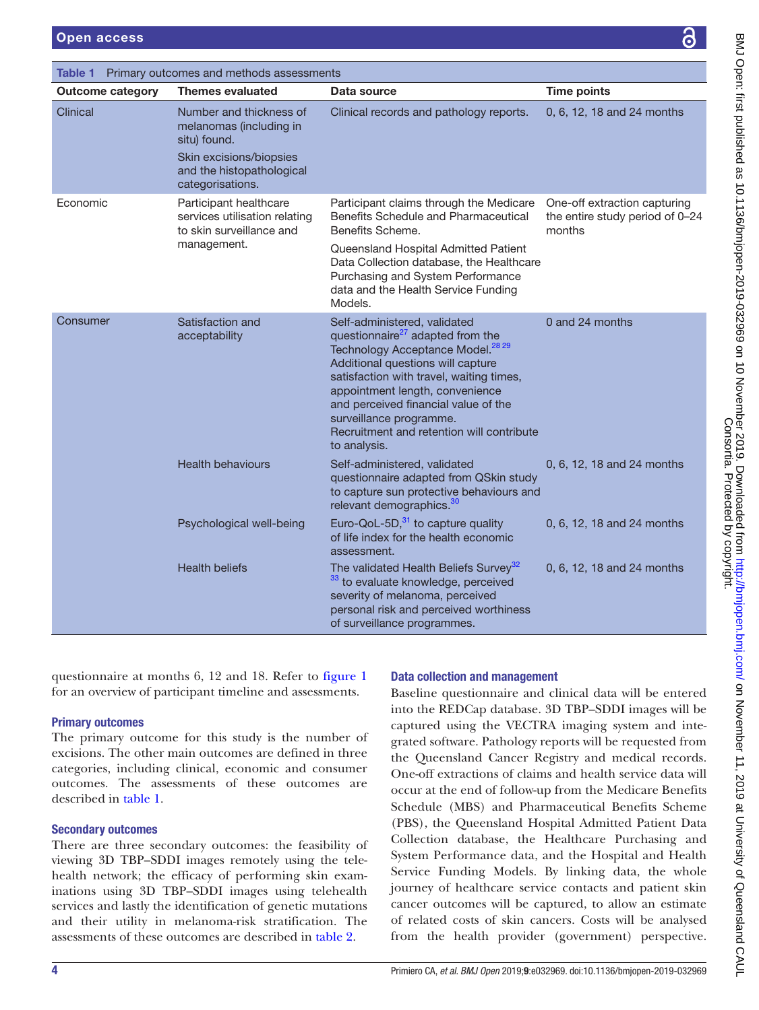<span id="page-3-0"></span>

| <b>Primary outcomes and methods assessments</b><br>Table 1 |                                                                                                                                                |                                                                                                                                                                                                                                                                                                                                                                                   |                                                                           |  |  |
|------------------------------------------------------------|------------------------------------------------------------------------------------------------------------------------------------------------|-----------------------------------------------------------------------------------------------------------------------------------------------------------------------------------------------------------------------------------------------------------------------------------------------------------------------------------------------------------------------------------|---------------------------------------------------------------------------|--|--|
| <b>Outcome category</b>                                    | <b>Themes evaluated</b>                                                                                                                        | Data source                                                                                                                                                                                                                                                                                                                                                                       | <b>Time points</b>                                                        |  |  |
| Clinical                                                   | Number and thickness of<br>melanomas (including in<br>situ) found.<br>Skin excisions/biopsies<br>and the histopathological<br>categorisations. | Clinical records and pathology reports.                                                                                                                                                                                                                                                                                                                                           | 0, 6, 12, 18 and 24 months                                                |  |  |
| Economic                                                   | Participant healthcare<br>services utilisation relating<br>to skin surveillance and<br>management.                                             | Participant claims through the Medicare<br>Benefits Schedule and Pharmaceutical<br>Benefits Scheme.                                                                                                                                                                                                                                                                               | One-off extraction capturing<br>the entire study period of 0-24<br>months |  |  |
|                                                            |                                                                                                                                                | Queensland Hospital Admitted Patient<br>Data Collection database, the Healthcare<br>Purchasing and System Performance<br>data and the Health Service Funding<br>Models.                                                                                                                                                                                                           |                                                                           |  |  |
| Consumer                                                   | Satisfaction and<br>acceptability                                                                                                              | Self-administered, validated<br>questionnaire <sup>27</sup> adapted from the<br>Technology Acceptance Model. <sup>28 29</sup><br>Additional questions will capture<br>satisfaction with travel, waiting times,<br>appointment length, convenience<br>and perceived financial value of the<br>surveillance programme.<br>Recruitment and retention will contribute<br>to analysis. | 0 and 24 months                                                           |  |  |
|                                                            | <b>Health behaviours</b>                                                                                                                       | Self-administered, validated<br>questionnaire adapted from QSkin study<br>to capture sun protective behaviours and<br>relevant demographics. <sup>30</sup>                                                                                                                                                                                                                        | 0, 6, 12, 18 and 24 months                                                |  |  |
|                                                            | Psychological well-being                                                                                                                       | Euro-QoL-5D, $31$ to capture quality<br>of life index for the health economic<br>assessment.                                                                                                                                                                                                                                                                                      | 0, 6, 12, 18 and 24 months                                                |  |  |
|                                                            | <b>Health beliefs</b>                                                                                                                          | The validated Health Beliefs Survey <sup>32</sup><br><sup>33</sup> to evaluate knowledge, perceived<br>severity of melanoma, perceived<br>personal risk and perceived worthiness<br>of surveillance programmes.                                                                                                                                                                   | 0, 6, 12, 18 and 24 months                                                |  |  |
|                                                            |                                                                                                                                                |                                                                                                                                                                                                                                                                                                                                                                                   |                                                                           |  |  |

questionnaire at months 6, 12 and 18. Refer to [figure](#page-4-0) 1 for an overview of participant timeline and assessments.

# Primary outcomes

The primary outcome for this study is the number of excisions. The other main outcomes are defined in three categories, including clinical, economic and consumer outcomes. The assessments of these outcomes are described in [table](#page-3-0) 1.

# Secondary outcomes

There are three secondary outcomes: the feasibility of viewing 3D TBP–SDDI images remotely using the telehealth network; the efficacy of performing skin examinations using 3D TBP–SDDI images using telehealth services and lastly the identification of genetic mutations and their utility in melanoma-risk stratification. The assessments of these outcomes are described in [table](#page-5-0) 2.

# Data collection and management

Baseline questionnaire and clinical data will be entered into the REDCap database. 3D TBP–SDDI images will be captured using the VECTRA imaging system and integrated software. Pathology reports will be requested from the Queensland Cancer Registry and medical records. One-off extractions of claims and health service data will occur at the end of follow-up from the Medicare Benefits Schedule (MBS) and Pharmaceutical Benefits Scheme (PBS), the Queensland Hospital Admitted Patient Data Collection database, the Healthcare Purchasing and System Performance data, and the Hospital and Health Service Funding Models. By linking data, the whole journey of healthcare service contacts and patient skin cancer outcomes will be captured, to allow an estimate of related costs of skin cancers. Costs will be analysed from the health provider (government) perspective.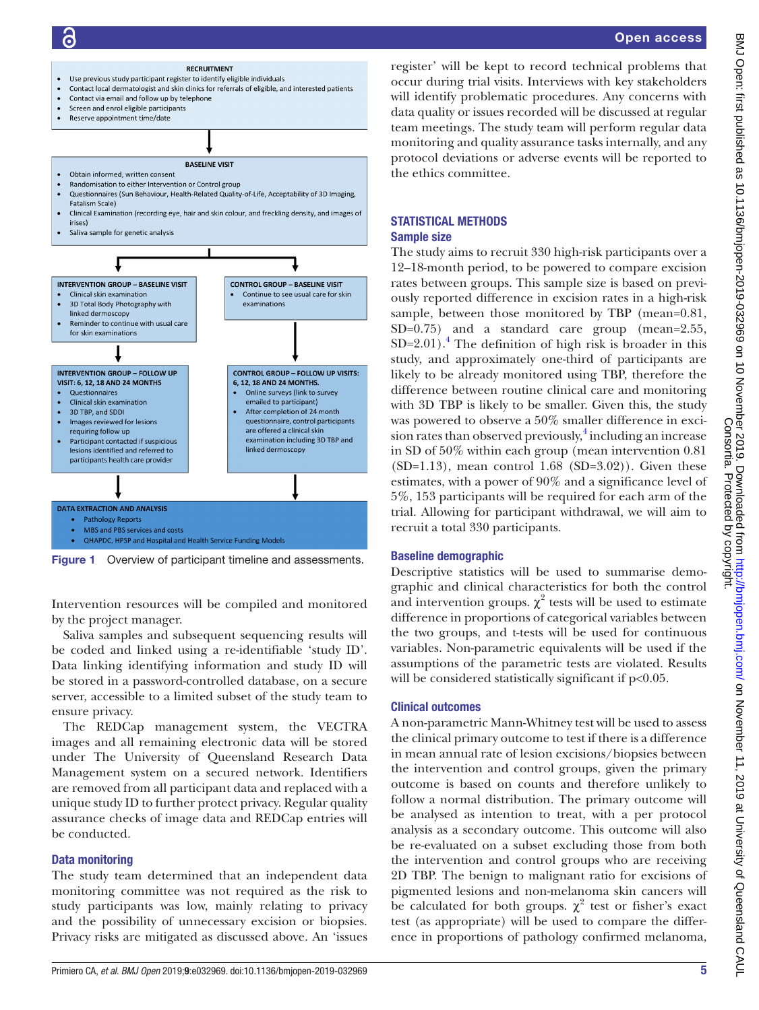

<span id="page-4-0"></span>Figure 1 Overview of participant timeline and assessments.

Intervention resources will be compiled and monitored by the project manager.

Saliva samples and subsequent sequencing results will be coded and linked using a re-identifiable 'study ID'. Data linking identifying information and study ID will be stored in a password-controlled database, on a secure server, accessible to a limited subset of the study team to ensure privacy.

The REDCap management system, the VECTRA images and all remaining electronic data will be stored under The University of Queensland Research Data Management system on a secured network. Identifiers are removed from all participant data and replaced with a unique study ID to further protect privacy. Regular quality assurance checks of image data and REDCap entries will be conducted.

#### Data monitoring

The study team determined that an independent data monitoring committee was not required as the risk to study participants was low, mainly relating to privacy and the possibility of unnecessary excision or biopsies. Privacy risks are mitigated as discussed above. An 'issues

register' will be kept to record technical problems that occur during trial visits. Interviews with key stakeholders will identify problematic procedures. Any concerns with data quality or issues recorded will be discussed at regular team meetings. The study team will perform regular data monitoring and quality assurance tasks internally, and any protocol deviations or adverse events will be reported to the ethics committee.

# STATISTICAL METHODS Sample size

The study aims to recruit 330 high-risk participants over a 12–18-month period, to be powered to compare excision rates between groups. This sample size is based on previously reported difference in excision rates in a high-risk sample, between those monitored by TBP (mean=0.81, SD=0.75) and a standard care group (mean=2.55,  $SD=2.01$ ).<sup>[4](#page-7-8)</sup> The definition of high risk is broader in this study, and approximately one-third of participants are likely to be already monitored using TBP, therefore the difference between routine clinical care and monitoring with 3D TBP is likely to be smaller. Given this, the study was powered to observe a 50% smaller difference in excision rates than observed previously,<sup>4</sup> including an increase in SD of 50% within each group (mean intervention 0.81  $(SD=1.13)$ , mean control 1.68  $(SD=3.02)$ ). Given these estimates, with a power of 90% and a significance level of 5%, 153 participants will be required for each arm of the trial. Allowing for participant withdrawal, we will aim to recruit a total 330 participants.

# Baseline demographic

Descriptive statistics will be used to summarise demographic and clinical characteristics for both the control and intervention groups.  $\chi^2$  tests will be used to estimate difference in proportions of categorical variables between the two groups, and t-tests will be used for continuous variables. Non-parametric equivalents will be used if the assumptions of the parametric tests are violated. Results will be considered statistically significant if  $p<0.05$ .

# Clinical outcomes

A non-parametric Mann-Whitney test will be used to assess the clinical primary outcome to test if there is a difference in mean annual rate of lesion excisions/biopsies between the intervention and control groups, given the primary outcome is based on counts and therefore unlikely to follow a normal distribution. The primary outcome will be analysed as intention to treat, with a per protocol analysis as a secondary outcome. This outcome will also be re-evaluated on a subset excluding those from both the intervention and control groups who are receiving 2D TBP. The benign to malignant ratio for excisions of pigmented lesions and non-melanoma skin cancers will be calculated for both groups.  $\chi^2$  test or fisher's exact test (as appropriate) will be used to compare the difference in proportions of pathology confirmed melanoma,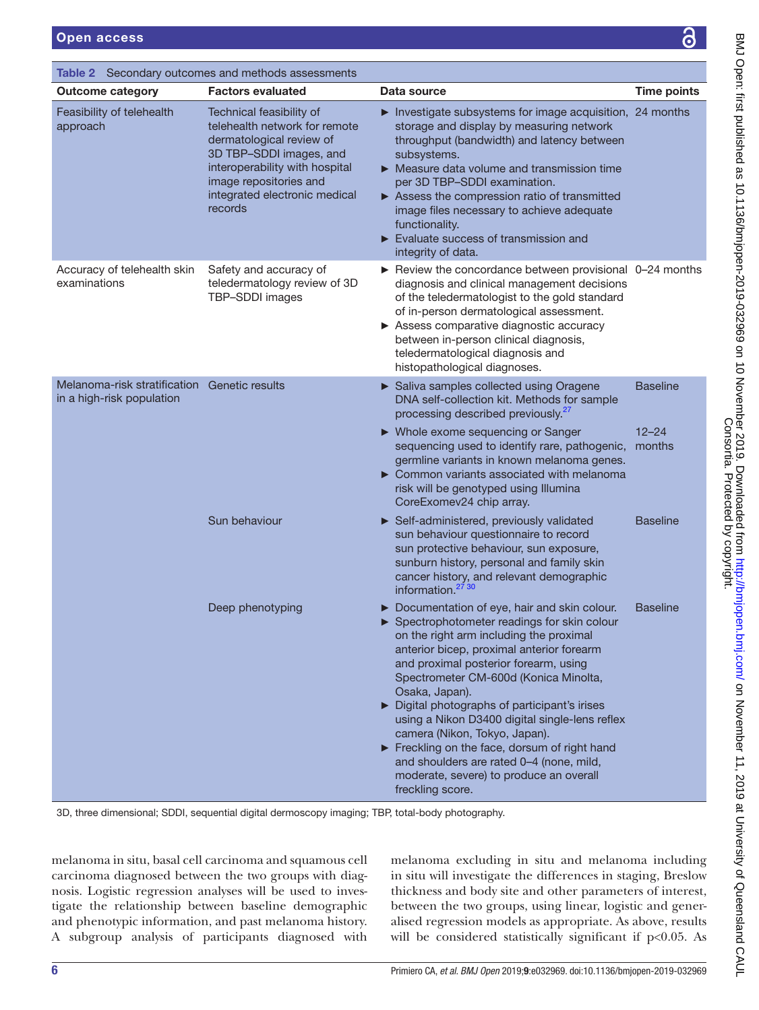<span id="page-5-0"></span>

| <b>Table 2</b> Secondary outcomes and methods assessments                 |                                                                                                                                                                                                                          |                                                                                                                                                                                                                                                                                                                                                                                                                                                                                                                                                                                        |                                        |  |  |
|---------------------------------------------------------------------------|--------------------------------------------------------------------------------------------------------------------------------------------------------------------------------------------------------------------------|----------------------------------------------------------------------------------------------------------------------------------------------------------------------------------------------------------------------------------------------------------------------------------------------------------------------------------------------------------------------------------------------------------------------------------------------------------------------------------------------------------------------------------------------------------------------------------------|----------------------------------------|--|--|
| <b>Outcome category</b>                                                   | <b>Factors evaluated</b>                                                                                                                                                                                                 | Data source                                                                                                                                                                                                                                                                                                                                                                                                                                                                                                                                                                            | <b>Time points</b>                     |  |  |
| Feasibility of telehealth<br>approach                                     | Technical feasibility of<br>telehealth network for remote<br>dermatological review of<br>3D TBP-SDDI images, and<br>interoperability with hospital<br>image repositories and<br>integrated electronic medical<br>records | Investigate subsystems for image acquisition, $24$ months<br>storage and display by measuring network<br>throughput (bandwidth) and latency between<br>subsystems.<br>Measure data volume and transmission time<br>per 3D TBP-SDDI examination.<br>▶ Assess the compression ratio of transmitted<br>image files necessary to achieve adequate<br>functionality.<br>$\blacktriangleright$ Evaluate success of transmission and<br>integrity of data.                                                                                                                                    |                                        |  |  |
| Accuracy of telehealth skin<br>examinations                               | Safety and accuracy of<br>teledermatology review of 3D<br>TBP-SDDI images                                                                                                                                                | ▶ Review the concordance between provisional 0-24 months<br>diagnosis and clinical management decisions<br>of the teledermatologist to the gold standard<br>of in-person dermatological assessment.<br>▶ Assess comparative diagnostic accuracy<br>between in-person clinical diagnosis,<br>teledermatological diagnosis and<br>histopathological diagnoses.                                                                                                                                                                                                                           |                                        |  |  |
| Melanoma-risk stratification Genetic results<br>in a high-risk population |                                                                                                                                                                                                                          | Saliva samples collected using Oragene<br>DNA self-collection kit. Methods for sample<br>processing described previously. <sup>27</sup><br>▶ Whole exome sequencing or Sanger<br>sequencing used to identify rare, pathogenic,                                                                                                                                                                                                                                                                                                                                                         | <b>Baseline</b><br>$12 - 24$<br>months |  |  |
|                                                                           |                                                                                                                                                                                                                          | germline variants in known melanoma genes.<br>• Common variants associated with melanoma<br>risk will be genotyped using Illumina<br>CoreExomev24 chip array.                                                                                                                                                                                                                                                                                                                                                                                                                          |                                        |  |  |
|                                                                           | Sun behaviour                                                                                                                                                                                                            | Self-administered, previously validated<br>sun behaviour questionnaire to record<br>sun protective behaviour, sun exposure,<br>sunburn history, personal and family skin<br>cancer history, and relevant demographic<br>information. <sup>27</sup> 30                                                                                                                                                                                                                                                                                                                                  | <b>Baseline</b>                        |  |  |
|                                                                           | Deep phenotyping                                                                                                                                                                                                         | Documentation of eye, hair and skin colour.<br>Spectrophotometer readings for skin colour<br>▶<br>on the right arm including the proximal<br>anterior bicep, proximal anterior forearm<br>and proximal posterior forearm, using<br>Spectrometer CM-600d (Konica Minolta,<br>Osaka, Japan).<br>Digital photographs of participant's irises<br>using a Nikon D3400 digital single-lens reflex<br>camera (Nikon, Tokyo, Japan).<br>Freckling on the face, dorsum of right hand<br>and shoulders are rated 0-4 (none, mild,<br>moderate, severe) to produce an overall<br>freckling score. | <b>Baseline</b>                        |  |  |

3D, three dimensional; SDDI, sequential digital dermoscopy imaging; TBP, total-body photography.

melanoma in situ, basal cell carcinoma and squamous cell carcinoma diagnosed between the two groups with diagnosis. Logistic regression analyses will be used to investigate the relationship between baseline demographic and phenotypic information, and past melanoma history. A subgroup analysis of participants diagnosed with

melanoma excluding in situ and melanoma including in situ will investigate the differences in staging, Breslow thickness and body site and other parameters of interest, between the two groups, using linear, logistic and generalised regression models as appropriate. As above, results will be considered statistically significant if p<0.05. As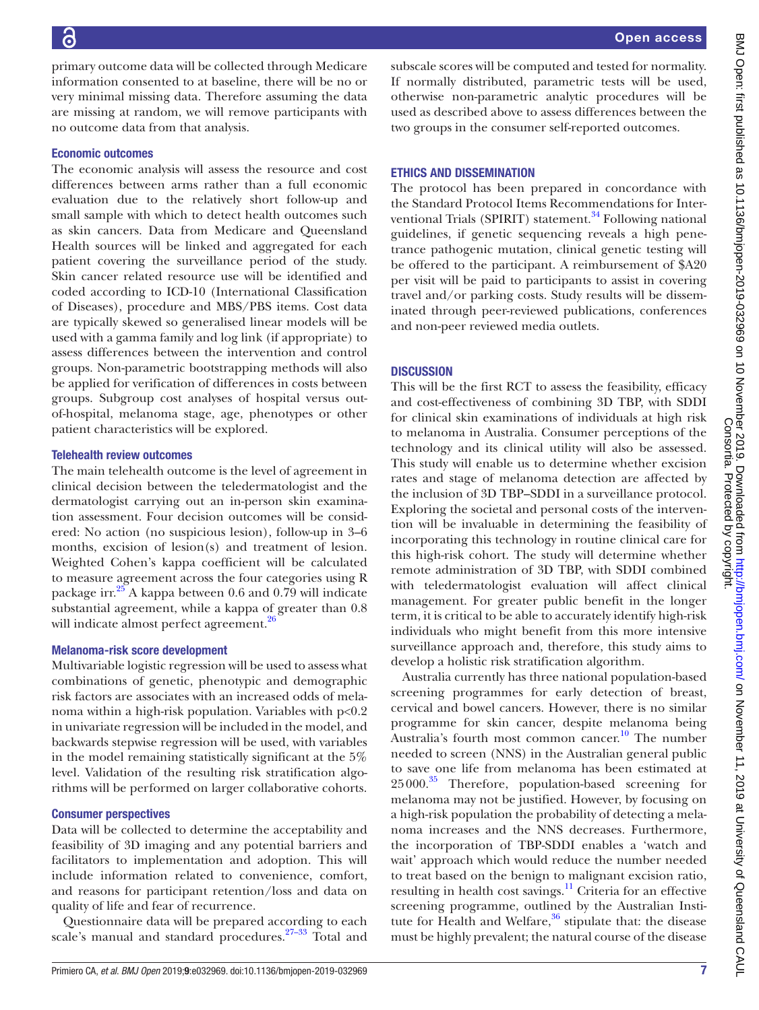primary outcome data will be collected through Medicare information consented to at baseline, there will be no or very minimal missing data. Therefore assuming the data are missing at random, we will remove participants with no outcome data from that analysis.

#### Economic outcomes

The economic analysis will assess the resource and cost differences between arms rather than a full economic evaluation due to the relatively short follow-up and small sample with which to detect health outcomes such as skin cancers. Data from Medicare and Queensland Health sources will be linked and aggregated for each patient covering the surveillance period of the study. Skin cancer related resource use will be identified and coded according to ICD-10 (International Classification of Diseases), procedure and MBS/PBS items. Cost data are typically skewed so generalised linear models will be used with a gamma family and log link (if appropriate) to assess differences between the intervention and control groups. Non-parametric bootstrapping methods will also be applied for verification of differences in costs between groups. Subgroup cost analyses of hospital versus outof-hospital, melanoma stage, age, phenotypes or other patient characteristics will be explored.

#### Telehealth review outcomes

The main telehealth outcome is the level of agreement in clinical decision between the teledermatologist and the dermatologist carrying out an in-person skin examination assessment. Four decision outcomes will be considered: No action (no suspicious lesion), follow-up in 3–6 months, excision of lesion(s) and treatment of lesion. Weighted Cohen's kappa coefficient will be calculated to measure agreement across the four categories using R package irr.<sup>[25](#page-8-12)</sup> A kappa between 0.6 and 0.79 will indicate substantial agreement, while a kappa of greater than 0.8 will indicate almost perfect agreement.<sup>[26](#page-8-13)</sup>

#### Melanoma-risk score development

Multivariable logistic regression will be used to assess what combinations of genetic, phenotypic and demographic risk factors are associates with an increased odds of melanoma within a high-risk population. Variables with  $p<0.2$ in univariate regression will be included in the model, and backwards stepwise regression will be used, with variables in the model remaining statistically significant at the 5% level. Validation of the resulting risk stratification algorithms will be performed on larger collaborative cohorts.

#### Consumer perspectives

Data will be collected to determine the acceptability and feasibility of 3D imaging and any potential barriers and facilitators to implementation and adoption. This will include information related to convenience, comfort, and reasons for participant retention/loss and data on quality of life and fear of recurrence.

Questionnaire data will be prepared according to each scale's manual and standard procedures.<sup>[27–33](#page-8-7)</sup> Total and subscale scores will be computed and tested for normality. If normally distributed, parametric tests will be used, otherwise non-parametric analytic procedures will be used as described above to assess differences between the two groups in the consumer self-reported outcomes.

# Ethics and dissemination

The protocol has been prepared in concordance with the Standard Protocol Items Recommendations for Interventional Trials (SPIRIT) statement.<sup>34</sup> Following national guidelines, if genetic sequencing reveals a high penetrance pathogenic mutation, clinical genetic testing will be offered to the participant. A reimbursement of \$A20 per visit will be paid to participants to assist in covering travel and/or parking costs. Study results will be disseminated through peer-reviewed publications, conferences and non-peer reviewed media outlets.

#### **DISCUSSION**

This will be the first RCT to assess the feasibility, efficacy and cost-effectiveness of combining 3D TBP, with SDDI for clinical skin examinations of individuals at high risk to melanoma in Australia. Consumer perceptions of the technology and its clinical utility will also be assessed. This study will enable us to determine whether excision rates and stage of melanoma detection are affected by the inclusion of 3D TBP–SDDI in a surveillance protocol. Exploring the societal and personal costs of the intervention will be invaluable in determining the feasibility of incorporating this technology in routine clinical care for this high-risk cohort. The study will determine whether remote administration of 3D TBP, with SDDI combined with teledermatologist evaluation will affect clinical management. For greater public benefit in the longer term, it is critical to be able to accurately identify high-risk individuals who might benefit from this more intensive surveillance approach and, therefore, this study aims to develop a holistic risk stratification algorithm.

Australia currently has three national population-based screening programmes for early detection of breast, cervical and bowel cancers. However, there is no similar programme for skin cancer, despite melanoma being Australia's fourth most common cancer.<sup>10</sup> The number needed to screen (NNS) in the Australian general public to save one life from melanoma has been estimated at 25000.[35](#page-8-15) Therefore, population-based screening for melanoma may not be justified. However, by focusing on a high-risk population the probability of detecting a melanoma increases and the NNS decreases. Furthermore, the incorporation of TBP-SDDI enables a 'watch and wait' approach which would reduce the number needed to treat based on the benign to malignant excision ratio, resulting in health cost savings. $\frac{11}{11}$  $\frac{11}{11}$  $\frac{11}{11}$  Criteria for an effective screening programme, outlined by the Australian Institute for Health and Welfare, $36$  stipulate that: the disease must be highly prevalent; the natural course of the disease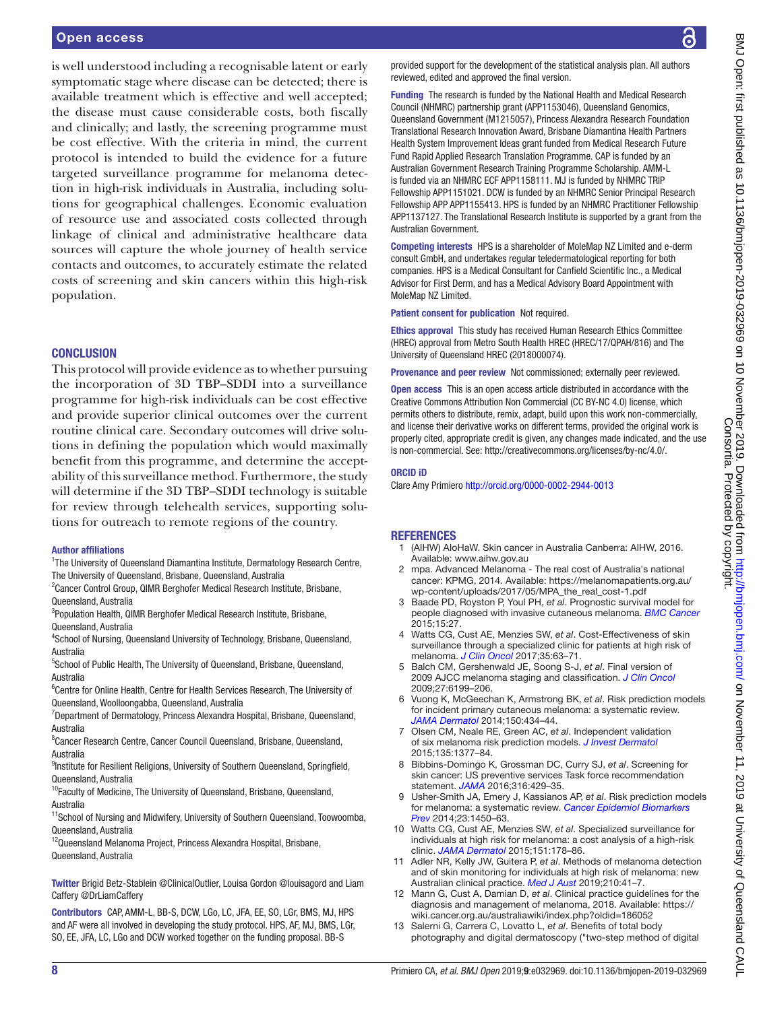#### Open access

is well understood including a recognisable latent or early symptomatic stage where disease can be detected; there is available treatment which is effective and well accepted; the disease must cause considerable costs, both fiscally and clinically; and lastly, the screening programme must be cost effective. With the criteria in mind, the current protocol is intended to build the evidence for a future targeted surveillance programme for melanoma detection in high-risk individuals in Australia, including solutions for geographical challenges. Economic evaluation of resource use and associated costs collected through linkage of clinical and administrative healthcare data sources will capture the whole journey of health service contacts and outcomes, to accurately estimate the related costs of screening and skin cancers within this high-risk population.

#### **CONCLUSION**

This protocol will provide evidence as to whether pursuing the incorporation of 3D TBP–SDDI into a surveillance programme for high-risk individuals can be cost effective and provide superior clinical outcomes over the current routine clinical care. Secondary outcomes will drive solutions in defining the population which would maximally benefit from this programme, and determine the acceptability of this surveillance method. Furthermore, the study will determine if the 3D TBP–SDDI technology is suitable for review through telehealth services, supporting solutions for outreach to remote regions of the country.

#### Author affiliations

<sup>1</sup>The University of Queensland Diamantina Institute, Dermatology Research Centre, The University of Queensland, Brisbane, Queensland, Australia

<sup>2</sup> Cancer Control Group, QIMR Berghofer Medical Research Institute, Brisbane, Queensland, Australia

<sup>3</sup>Population Health, QIMR Berghofer Medical Research Institute, Brisbane, Queensland, Australia

<sup>4</sup>School of Nursing, Queensland University of Technology, Brisbane, Queensland, Australia

<sup>5</sup>School of Public Health, The University of Queensland, Brisbane, Queensland, Australia

<sup>6</sup>Centre for Online Health, Centre for Health Services Research, The University of Queensland, Woolloongabba, Queensland, Australia

<sup>7</sup>Department of Dermatology, Princess Alexandra Hospital, Brisbane, Queensland, Australia

<sup>8</sup> Cancer Research Centre, Cancer Council Queensland, Brisbane, Queensland, Australia

<sup>9</sup>Institute for Resilient Religions, University of Southern Queensland, Springfield, Queensland, Australia

 $10$ Faculty of Medicine, The University of Queensland, Brisbane, Queensland, Australia

<sup>11</sup>School of Nursing and Midwifery, University of Southern Queensland, Toowoomba, Queensland, Australia

<sup>12</sup>Queensland Melanoma Project, Princess Alexandra Hospital, Brisbane, Queensland, Australia

Twitter Brigid Betz-Stablein [@ClinicalOutlier](https://twitter.com/ClinicalOutlier), Louisa Gordon [@louisagord](https://twitter.com/louisagord) and Liam Caffery [@DrLiamCaffery](https://twitter.com/DrLiamCaffery)

Contributors CAP, AMM-L, BB-S, DCW, LGo, LC, JFA, EE, SO, LGr, BMS, MJ, HPS and AF were all involved in developing the study protocol. HPS, AF, MJ, BMS, LGr, SO, EE, JFA, LC, LGo and DCW worked together on the funding proposal. BB-S

BMJ Open: first published as 10.1136/bmjopen-2019-032969 on 10 November 2019. Downloaded from http://bmjopen.bmj.com/ on November 11, 2019 at University of Queensland CAUL<br>Consortist published as 10.1136/bmjopen-2019-03296 BMJ Open: first published as 10.1136/bmjopen-2019-0319-010 November 2019. Downloaded from <http://bmjopen.bmj.com/> on November 11, 2019 at University of Queensland CAUL Consortia. Protected by copyright.

provided support for the development of the statistical analysis plan. All authors reviewed, edited and approved the final version.

Funding The research is funded by the National Health and Medical Research Council (NHMRC) partnership grant (APP1153046), Queensland Genomics, Queensland Government (M1215057), Princess Alexandra Research Foundation Translational Research Innovation Award, Brisbane Diamantina Health Partners Health System Improvement Ideas grant funded from Medical Research Future Fund Rapid Applied Research Translation Programme. CAP is funded by an Australian Government Research Training Programme Scholarship. AMM-L is funded via an NHMRC ECF APP1158111. MJ is funded by NHMRC TRIP Fellowship APP1151021. DCW is funded by an NHMRC Senior Principal Research Fellowship APP APP1155413. HPS is funded by an NHMRC Practitioner Fellowship APP1137127. The Translational Research Institute is supported by a grant from the Australian Government.

Competing interests HPS is a shareholder of MoleMap NZ Limited and e-derm consult GmbH, and undertakes regular teledermatological reporting for both companies. HPS is a Medical Consultant for Canfield Scientific Inc., a Medical Advisor for First Derm, and has a Medical Advisory Board Appointment with MoleMap NZ Limited.

Patient consent for publication Not required.

Ethics approval This study has received Human Research Ethics Committee (HREC) approval from Metro South Health HREC (HREC/17/QPAH/816) and The University of Queensland HREC (2018000074).

Provenance and peer review Not commissioned; externally peer reviewed.

**Open access** This is an open access article distributed in accordance with the Creative Commons Attribution Non Commercial (CC BY-NC 4.0) license, which permits others to distribute, remix, adapt, build upon this work non-commercially, and license their derivative works on different terms, provided the original work is properly cited, appropriate credit is given, any changes made indicated, and the use is non-commercial. See: [http://creativecommons.org/licenses/by-nc/4.0/.](http://creativecommons.org/licenses/by-nc/4.0/)

#### ORCID iD

Clare Amy Primiero<http://orcid.org/0000-0002-2944-0013>

#### **REFERENCES**

- <span id="page-7-0"></span>1 (AIHW) AIoHaW. Skin cancer in Australia Canberra: AIHW, 2016. Available:<www.aihw.gov.au>
- <span id="page-7-1"></span>2 mpa. Advanced Melanoma - The real cost of Australia's national cancer: KPMG, 2014. Available: [https://melanomapatients.org.au/](https://melanomapatients.org.au/wp-content/uploads/2017/05/MPA_the_real_cost-1.pdf) [wp-content/uploads/2017/05/MPA\\_the\\_real\\_cost-1.pdf](https://melanomapatients.org.au/wp-content/uploads/2017/05/MPA_the_real_cost-1.pdf)
- <span id="page-7-2"></span>3 Baade PD, Royston P, Youl PH, *et al*. Prognostic survival model for people diagnosed with invasive cutaneous melanoma. *[BMC Cancer](http://dx.doi.org/10.1186/s12885-015-1024-4)* 2015;15:27.
- <span id="page-7-8"></span>4 Watts CG, Cust AE, Menzies SW, *et al*. Cost-Effectiveness of skin surveillance through a specialized clinic for patients at high risk of melanoma. *[J Clin Oncol](http://dx.doi.org/10.1200/JCO.2016.68.4308)* 2017;35:63–71.
- 5 Balch CM, Gershenwald JE, Soong S-J, *et al*. Final version of 2009 AJCC melanoma staging and classification. *[J Clin Oncol](http://dx.doi.org/10.1200/JCO.2009.23.4799)* 2009;27:6199–206.
- <span id="page-7-3"></span>6 Vuong K, McGeechan K, Armstrong BK, *et al*. Risk prediction models for incident primary cutaneous melanoma: a systematic review. *[JAMA Dermatol](http://dx.doi.org/10.1001/jamadermatol.2013.8890)* 2014;150:434–44.
- <span id="page-7-4"></span>7 Olsen CM, Neale RE, Green AC, *et al*. Independent validation of six melanoma risk prediction models. *[J Invest Dermatol](http://dx.doi.org/10.1038/jid.2014.533)* 2015;135:1377–84.
- <span id="page-7-5"></span>8 Bibbins-Domingo K, Grossman DC, Curry SJ, *et al*. Screening for skin cancer: US preventive services Task force recommendation statement. *[JAMA](http://dx.doi.org/10.1001/jama.2016.8465)* 2016;316:429–35.
- 9 Usher-Smith JA, Emery J, Kassianos AP, *et al*. Risk prediction models for melanoma: a systematic review. *[Cancer Epidemiol Biomarkers](http://dx.doi.org/10.1158/1055-9965.EPI-14-0295)  [Prev](http://dx.doi.org/10.1158/1055-9965.EPI-14-0295)* 2014;23:1450–63.
- <span id="page-7-9"></span>10 Watts CG, Cust AE, Menzies SW, *et al*. Specialized surveillance for individuals at high risk for melanoma: a cost analysis of a high-risk clinic. *[JAMA Dermatol](http://dx.doi.org/10.1001/jamadermatol.2014.1952)* 2015;151:178–86.
- <span id="page-7-6"></span>11 Adler NR, Kelly JW, Guitera P, *et al*. Methods of melanoma detection and of skin monitoring for individuals at high risk of melanoma: new Australian clinical practice. *[Med J Aust](http://dx.doi.org/10.5694/mja2.12033)* 2019;210:41–7.
- 12 Mann G, Cust A, Damian D, *et al*. Clinical practice guidelines for the diagnosis and management of melanoma, 2018. Available: [https://](https://wiki.cancer.org.au/australiawiki/index.php?oldid=186052) [wiki.cancer.org.au/australiawiki/index.php?oldid=186052](https://wiki.cancer.org.au/australiawiki/index.php?oldid=186052)
- <span id="page-7-7"></span>13 Salerni G, Carrera C, Lovatto L, *et al*. Benefits of total body photography and digital dermatoscopy ("two-step method of digital